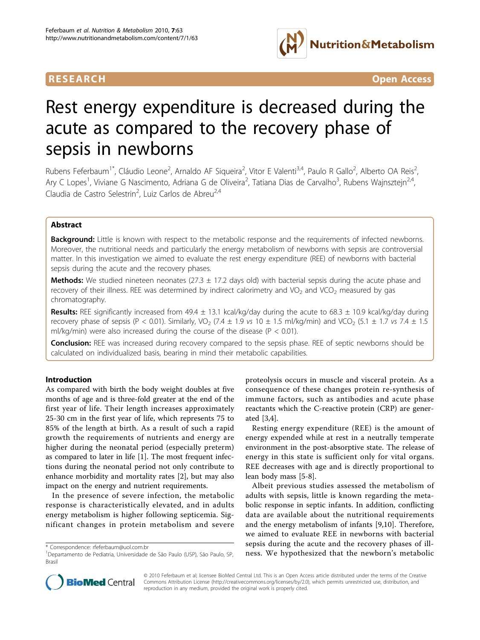

**RESEARCH Open Access** 

# Rest energy expenditure is decreased during the acute as compared to the recovery phase of sepsis in newborns

Rubens Feferbaum<sup>1\*</sup>, Cláudio Leone<sup>2</sup>, Arnaldo AF Siqueira<sup>2</sup>, Vitor E Valenti<sup>3,4</sup>, Paulo R Gallo<sup>2</sup>, Alberto OA Reis<sup>2</sup> , Ary C Lopes<sup>1</sup>, Viviane G Nascimento, Adriana G de Oliveira<sup>2</sup>, Tatiana Dias de Carvalho<sup>3</sup>, Rubens Wajnsztejn<sup>2,4</sup>, Claudia de Castro Selestrin<sup>2</sup>, Luiz Carlos de Abreu<sup>2,4</sup>

# Abstract

Background: Little is known with respect to the metabolic response and the requirements of infected newborns. Moreover, the nutritional needs and particularly the energy metabolism of newborns with sepsis are controversial matter. In this investigation we aimed to evaluate the rest energy expenditure (REE) of newborns with bacterial sepsis during the acute and the recovery phases.

**Methods:** We studied nineteen neonates (27.3  $\pm$  17.2 days old) with bacterial sepsis during the acute phase and recovery of their illness. REE was determined by indirect calorimetry and VO<sub>2</sub> and VCO<sub>2</sub> measured by gas chromatography.

Results: REE significantly increased from 49.4  $\pm$  13.1 kcal/kg/day during the acute to 68.3  $\pm$  10.9 kcal/kg/day during recovery phase of sepsis (P < 0.01). Similarly, VO<sub>2</sub> (7.4  $\pm$  1.9 vs 10  $\pm$  1.5 ml/kg/min) and VCO<sub>2</sub> (5.1  $\pm$  1.7 vs 7.4  $\pm$  1.5 ml/kg/min) were also increased during the course of the disease ( $P < 0.01$ ).

**Conclusion:** REE was increased during recovery compared to the sepsis phase. REE of septic newborns should be calculated on individualized basis, bearing in mind their metabolic capabilities.

# Introduction

As compared with birth the body weight doubles at five months of age and is three-fold greater at the end of the first year of life. Their length increases approximately 25-30 cm in the first year of life, which represents 75 to 85% of the length at birth. As a result of such a rapid growth the requirements of nutrients and energy are higher during the neonatal period (especially preterm) as compared to later in life [\[1\]](#page-6-0). The most frequent infections during the neonatal period not only contribute to enhance morbidity and mortality rates [\[2](#page-6-0)], but may also impact on the energy and nutrient requirements.

In the presence of severe infection, the metabolic response is characteristically elevated, and in adults energy metabolism is higher following septicemia. Significant changes in protein metabolism and severe

proteolysis occurs in muscle and visceral protein. As a consequence of these changes protein re-synthesis of immune factors, such as antibodies and acute phase reactants which the C-reactive protein (CRP) are generated [\[3,4](#page-6-0)].

Resting energy expenditure (REE) is the amount of energy expended while at rest in a neutrally temperate environment in the post-absorptive state. The release of energy in this state is sufficient only for vital organs. REE decreases with age and is directly proportional to lean body mass [\[5-8](#page-6-0)].

Albeit previous studies assessed the metabolism of adults with sepsis, little is known regarding the metabolic response in septic infants. In addition, conflicting data are available about the nutritional requirements and the energy metabolism of infants [[9,10](#page-6-0)]. Therefore, we aimed to evaluate REE in newborns with bacterial sepsis during the acute and the recovery phases of illtorrespondence: [rfeferbaum@uol.com.br](mailto:rfeferbaum@uol.com.br) seps. Supposs during the acute and the recovery phases of in-<br>Departamento de Pediatria, Universidade de São Paulo (USP), São Paulo, SP, ness. We hypothesized that the newborn's metabo



© 2010 Feferbaum et al; licensee BioMed Central Ltd. This is an Open Access article distributed under the terms of the Creative Commons Attribution License [\(http://creativecommons.org/licenses/by/2.0](http://creativecommons.org/licenses/by/2.0)), which permits unrestricted use, distribution, and reproduction in any medium, provided the original work is properly cited.

<sup>&</sup>lt;sup>1</sup>Departamento de Pediatria, Universidade de São Paulo (USP), São Paulo, SP, Brasil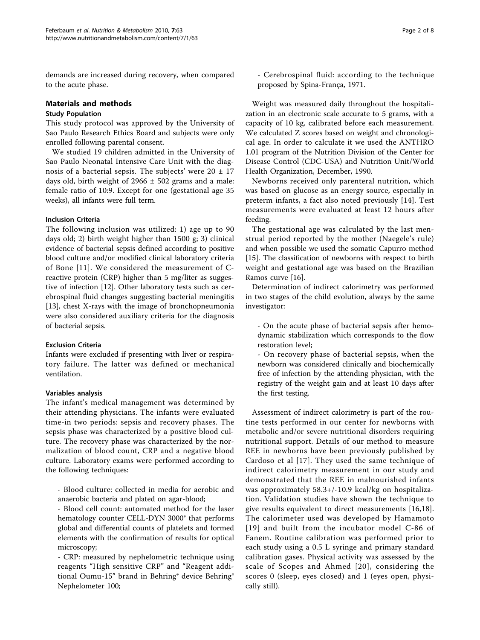demands are increased during recovery, when compared to the acute phase.

# Materials and methods

# Study Population

This study protocol was approved by the University of Sao Paulo Research Ethics Board and subjects were only enrolled following parental consent.

We studied 19 children admitted in the University of Sao Paulo Neonatal Intensive Care Unit with the diagnosis of a bacterial sepsis. The subjects' were  $20 \pm 17$ days old, birth weight of  $2966 \pm 502$  grams and a male: female ratio of 10:9. Except for one (gestational age 35 weeks), all infants were full term.

# Inclusion Criteria

The following inclusion was utilized: 1) age up to 90 days old; 2) birth weight higher than 1500 g; 3) clinical evidence of bacterial sepsis defined according to positive blood culture and/or modified clinical laboratory criteria of Bone [[11\]](#page-6-0). We considered the measurement of Creactive protein (CRP) higher than 5 mg/liter as suggestive of infection [\[12](#page-6-0)]. Other laboratory tests such as cerebrospinal fluid changes suggesting bacterial meningitis [[13\]](#page-6-0), chest X-rays with the image of bronchopneumonia were also considered auxiliary criteria for the diagnosis of bacterial sepsis.

# Exclusion Criteria

Infants were excluded if presenting with liver or respiratory failure. The latter was defined or mechanical ventilation.

#### Variables analysis

The infant's medical management was determined by their attending physicians. The infants were evaluated time-in two periods: sepsis and recovery phases. The sepsis phase was characterized by a positive blood culture. The recovery phase was characterized by the normalization of blood count, CRP and a negative blood culture. Laboratory exams were performed according to the following techniques:

- Blood culture: collected in media for aerobic and anaerobic bacteria and plated on agar-blood;

- Blood cell count: automated method for the laser hematology counter CELL-DYN 3000® that performs global and differential counts of platelets and formed elements with the confirmation of results for optical microscopy;

- CRP: measured by nephelometric technique using reagents "High sensitive CRP" and "Reagent additional Oumu-15" brand in Behring® device Behring® Nephelometer 100;

- Cerebrospinal fluid: according to the technique proposed by Spina-França, 1971.

Weight was measured daily throughout the hospitalization in an electronic scale accurate to 5 grams, with a capacity of 10 kg, calibrated before each measurement. We calculated Z scores based on weight and chronological age. In order to calculate it we used the ANTHRO 1.01 program of the Nutrition Division of the Center for Disease Control (CDC-USA) and Nutrition Unit/World Health Organization, December, 1990.

Newborns received only parenteral nutrition, which was based on glucose as an energy source, especially in preterm infants, a fact also noted previously [[14](#page-6-0)]. Test measurements were evaluated at least 12 hours after feeding.

The gestational age was calculated by the last menstrual period reported by the mother (Naegele's rule) and when possible we used the somatic Capurro method [[15\]](#page-6-0). The classification of newborns with respect to birth weight and gestational age was based on the Brazilian Ramos curve [[16\]](#page-6-0).

Determination of indirect calorimetry was performed in two stages of the child evolution, always by the same investigator:

- On the acute phase of bacterial sepsis after hemodynamic stabilization which corresponds to the flow restoration level;

- On recovery phase of bacterial sepsis, when the newborn was considered clinically and biochemically free of infection by the attending physician, with the registry of the weight gain and at least 10 days after the first testing.

Assessment of indirect calorimetry is part of the routine tests performed in our center for newborns with metabolic and/or severe nutritional disorders requiring nutritional support. Details of our method to measure REE in newborns have been previously published by Cardoso et al [[17\]](#page-6-0). They used the same technique of indirect calorimetry measurement in our study and demonstrated that the REE in malnourished infants was approximately 58.3+/-10.9 kcal/kg on hospitalization. Validation studies have shown the technique to give results equivalent to direct measurements [[16,18](#page-6-0)]. The calorimeter used was developed by Hamamoto [[19](#page-6-0)] and built from the incubator model C-86 of Fanem. Routine calibration was performed prior to each study using a 0.5 L syringe and primary standard calibration gases. Physical activity was assessed by the scale of Scopes and Ahmed [[20](#page-6-0)], considering the scores 0 (sleep, eyes closed) and 1 (eyes open, physically still).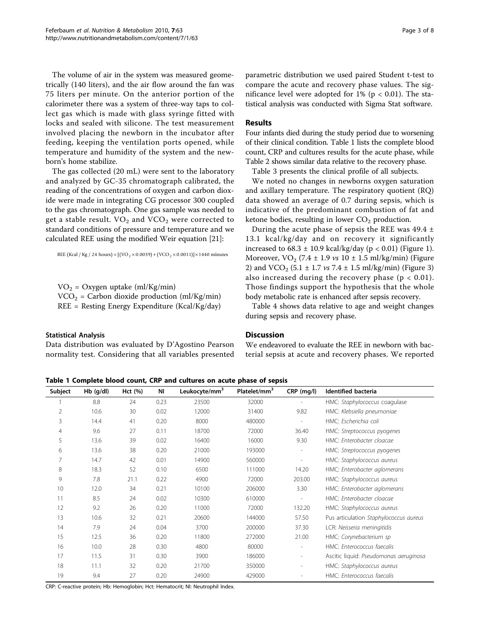The volume of air in the system was measured geometrically (140 liters), and the air flow around the fan was 75 liters per minute. On the anterior portion of the calorimeter there was a system of three-way taps to collect gas which is made with glass syringe fitted with locks and sealed with silicone. The test measurement involved placing the newborn in the incubator after feeding, keeping the ventilation ports opened, while temperature and humidity of the system and the newborn's home stabilize.

The gas collected (20 mL) were sent to the laboratory and analyzed by GC-35 chromatograph calibrated, the reading of the concentrations of oxygen and carbon dioxide were made in integrating CG processor 300 coupled to the gas chromatograph. One gas sample was needed to get a stable result.  $VO<sub>2</sub>$  and  $VCO<sub>2</sub>$  were corrected to standard conditions of pressure and temperature and we calculated REE using the modified Weir equation [[21](#page-6-0)]:

REE (Kcal / Kg / 24 hours) =  $[(VO_2 \times 0.0039) + (VCO_2 \times 0.0011)] \times 1440$  minutes

 $VO<sub>2</sub> = Oxygen uptake (ml/Kg/min)$  $VCO<sub>2</sub> = Carbon dioxide production (ml/Kg/min)$ REE = Resting Energy Expenditure (Kcal/Kg/day)

#### Statistical Analysis

Data distribution was evaluated by D'Agostino Pearson normality test. Considering that all variables presented parametric distribution we used paired Student t-test to compare the acute and recovery phase values. The significance level were adopted for  $1\%$  (p < 0.01). The statistical analysis was conducted with Sigma Stat software.

#### Results

Four infants died during the study period due to worsening of their clinical condition. Table 1 lists the complete blood count, CRP and cultures results for the acute phase, while Table [2](#page-3-0) shows similar data relative to the recovery phase.

Table [3](#page-3-0) presents the clinical profile of all subjects.

We noted no changes in newborns oxygen saturation and axillary temperature. The respiratory quotient (RQ) data showed an average of 0.7 during sepsis, which is indicative of the predominant combustion of fat and ketone bodies, resulting in lower  $CO<sub>2</sub>$  production.

During the acute phase of sepsis the REE was  $49.4 \pm$ 13.1 kcal/kg/day and on recovery it significantly increased to  $68.3 \pm 10.9$  $68.3 \pm 10.9$  $68.3 \pm 10.9$  kcal/kg/day (p < 0.01) (Figure 1). Moreover,  $VO<sub>2</sub>$  (7.4 ± 1.9 *vs* 10 ± 1.5 ml/kg/min) (Figure [2\)](#page-4-0) and VCO<sub>2</sub> (5.1  $\pm$  1.7 *vs* 7.4  $\pm$  1.5 ml/kg/min) (Figure [3](#page-4-0)) also increased during the recovery phase  $(p < 0.01)$ . Those findings support the hypothesis that the whole body metabolic rate is enhanced after sepsis recovery.

Table [4](#page-5-0) shows data relative to age and weight changes during sepsis and recovery phase.

# **Discussion**

We endeavored to evaluate the REE in newborn with bacterial sepsis at acute and recovery phases. We reported

Table 1 Complete blood count, CRP and cultures on acute phase of sepsis

| Subject        | $Hb$ (g/dl) | Hct (%) | ΝI   | Leukocyte/mm <sup>3</sup> | Platelet/mm <sup>3</sup> | CRP (mg/l)               | <b>Identified bacteria</b>             |  |
|----------------|-------------|---------|------|---------------------------|--------------------------|--------------------------|----------------------------------------|--|
|                | 8.8         | 24      | 0.23 | 23500                     | 32000                    |                          | HMC: Staphylococcus coagulase          |  |
| $\overline{2}$ | 10.6        | 30      | 0.02 | 12000                     | 31400                    | 9.82                     | HMC: Klebsiella pneumoniae             |  |
| 3              | 14.4        | 41      | 0.20 | 8000                      | 480000                   | $\overline{a}$           | HMC: Escherichia coli                  |  |
| $\overline{4}$ | 9.6         | 27      | 0.11 | 18700                     | 72000                    | 36.40                    | HMC: Streptococcus pyogenes            |  |
| 5              | 13.6        | 39      | 0.02 | 16400                     | 16000                    | 9.30                     | HMC: Enterobacter cloacae              |  |
| 6              | 13.6        | 38      | 0.20 | 21000                     | 193000                   | $\overline{\phantom{a}}$ | HMC: Streptococcus pyogenes            |  |
| 7              | 14.7        | 42      | 0.01 | 14900                     | 560000                   | $\overline{\phantom{m}}$ | HMC: Staphylococcus aureus             |  |
| 8              | 18.3        | 52      | 0.10 | 6500                      | 111000                   | 14.20                    | HMC: Enterobacter aglomerans           |  |
| 9              | 7.8         | 21.1    | 0.22 | 4900                      | 72000                    | 203.00                   | HMC: Staphylococcus aureus             |  |
| 10             | 12.0        | 34      | 0.21 | 10100                     | 206000                   | 3.30                     | HMC: Enterobacter aglomerans           |  |
| 11             | 8.5         | 24      | 0.02 | 10300                     | 610000                   | $\overline{\phantom{m}}$ | HMC: Enterobacter cloacae              |  |
| 12             | 9.2         | 26      | 0.20 | 11000                     | 72000                    | 132.20                   | HMC: Staphylococcus aureus             |  |
| 13             | 10.6        | 32      | 0.21 | 20600                     | 144000                   | 57.50                    | Pus articulation Staphylococcus aureus |  |
| 14             | 7.9         | 24      | 0.04 | 3700                      | 200000                   | 37.30                    | LCR: Neisseria meningitidis            |  |
| 15             | 12.5        | 36      | 0.20 | 11800                     | 272000                   | 21.00                    | HMC: Corynebacterium sp                |  |
| 16             | 10.0        | 28      | 0.30 | 4800                      | 80000                    | $\overline{\phantom{m}}$ | HMC: Enterococcus faecalis             |  |
| 17             | 11.5        | 31      | 0.30 | 3900                      | 186000                   | $\overline{\phantom{a}}$ | Ascitic liquid: Pseudomonas aeruginosa |  |
| 18             | 11.1        | 32      | 0.20 | 21700                     | 350000                   | $\overline{\phantom{a}}$ | HMC: Staphylococcus aureus             |  |
| 19             | 9.4         | 27      | 0.20 | 24900                     | 429000                   |                          | HMC: Enterococcus faecalis             |  |

CRP: C-reactive protein; Hb: Hemoglobin; Hct: Hematocrit; NI: Neutrophil Index.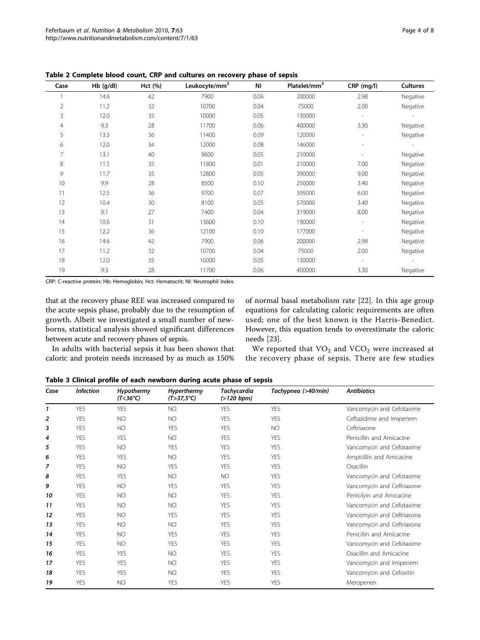| Case | $Hb$ (g/dl) | Hct (%) | Leukocyte/mm <sup>3</sup> | ΝI   | Platelet/mm <sup>3</sup> | CRP (mg/l)     | <b>Cultures</b> |
|------|-------------|---------|---------------------------|------|--------------------------|----------------|-----------------|
|      | 14.6        | 42      | 7900                      | 0.06 | 200000                   | 2.98           | Negative        |
| 2    | 11.2        | 32      | 10700                     | 0.04 | 75000                    | 2.00           | Negative        |
| 3    | 12.0        | 35      | 10000                     | 0.05 | 130000                   |                |                 |
| 4    | 9.3         | 28      | 11700                     | 0.06 | 400000                   | 3.30           | Negative        |
| 5    | 13.3        | 36      | 11400                     | 0.09 | 120000                   | $\overline{a}$ | Negative        |
| 6    | 12.0        | 34      | 12000                     | 0.08 | 146000                   | ٠              |                 |
| 7    | 13.1        | 40      | 9600                      | 0.05 | 210000                   |                | Negative        |
| 8    | 11.5        | 35      | 11800                     | 0.01 | 210000                   | 7.00           | Negative        |
| 9    | 11.7        | 35      | 12800                     | 0.05 | 390000                   | 9.00           | Negative        |
| 10   | 9.9         | 28      | 8500                      | 0.10 | 250000                   | 3.40           | Negative        |
| 11   | 12.5        | 36      | 9700                      | 0.07 | 395000                   | 6.00           | Negative        |
| 12   | 10.4        | 30      | 8100                      | 0.05 | 570000                   | 3.40           | Negative        |
| 13   | 9.1         | 27      | 7400                      | 0.04 | 319000                   | 8.00           | Negative        |
| 14   | 10.6        | 31      | 13600                     | 0.10 | 190000                   | $\overline{a}$ | Negative        |
| 15   | 12.2        | 36      | 12100                     | 0.10 | 177000                   | $\overline{a}$ | Negative        |
| 16   | 14.6        | 42      | 7900                      | 0.06 | 200000                   | 2.98           | Negative        |
| 17   | 11.2        | 32      | 10700                     | 0.04 | 75000                    | 2.00           | Negative        |
| 18   | 12.0        | 35      | 10000                     | 0.05 | 130000                   |                |                 |
| 19   | 9.3         | 28      | 11700                     | 0.06 | 400000                   | 3.30           | Negative        |

<span id="page-3-0"></span>Table 2 Complete blood count, CRP and cultures on recovery phase of sepsis

CRP: C-reactive protein; Hb: Hemoglobin; Hct: Hematocrit; NI: Neutrophil Index.

that at the recovery phase REE was increased compared to the acute sepsis phase, probably due to the resumption of growth. Albeit we investigated a small number of newborns, statistical analysis showed significant differences between acute and recovery phases of sepsis.

In adults with bacterial sepsis it has been shown that caloric and protein needs increased by as much as 150%

of normal basal metabolism rate [[22\]](#page-6-0). In this age group equations for calculating caloric requirements are often used; one of the best known is the Harris-Benedict. However, this equation tends to overestimate the caloric needs [\[23\]](#page-6-0).

We reported that  $VO<sub>2</sub>$  and  $VCO<sub>2</sub>$  were increased at the recovery phase of sepsis. There are few studies

Table 3 Clinical profile of each newborn during acute phase of sepsis

| Case | <b>Infection</b> | <b>Hypothermy</b><br>$(T<36^{\circ}C)$ | Hyperthermy<br>$(T > 37.5^{\circ}C)$ | <b>Tachycardia</b><br>$(>120$ bpm) | Tachypnea (>40/min) | <b>Antibiotics</b>         |  |
|------|------------------|----------------------------------------|--------------------------------------|------------------------------------|---------------------|----------------------------|--|
| 1    | <b>YES</b>       | <b>YES</b>                             | <b>NO</b>                            | <b>YES</b>                         | <b>YES</b>          | Vancomycin and Cefotaxime  |  |
| 2    | <b>YES</b>       | <b>NO</b>                              | NO.                                  | <b>YES</b>                         | <b>YES</b>          | Ceftazidime and Imipenem   |  |
| 3    | <b>YES</b>       | <b>NO</b>                              | <b>YES</b>                           | YES                                | <b>NO</b>           | Ceftriaxone                |  |
| 4    | <b>YES</b>       | <b>YES</b>                             | <b>NO</b>                            | <b>YFS</b>                         | <b>YES</b>          | Penicillin and Amicacine   |  |
| 5    | YES              | <b>NO</b>                              | <b>YES</b>                           | YES                                | <b>YES</b>          | Vancomycin and Cefotaxime  |  |
| 6    | <b>YES</b>       | <b>YES</b>                             | NO.                                  | <b>YES</b>                         | <b>YES</b>          | Ampicillin and Amicacine   |  |
| 7    | <b>YES</b>       | NO.                                    | <b>YES</b>                           | <b>YES</b>                         | <b>YES</b>          | Oxacillin                  |  |
| 8    | YES              | <b>YES</b>                             | NO.                                  | <b>NO</b>                          | <b>YES</b>          | Vancomycin and Cefotaxime  |  |
| 9    | <b>YES</b>       | <b>NO</b>                              | <b>YES</b>                           | YES                                | <b>YES</b>          | Vancomycin and Ceftriaxone |  |
| 10   | YES              | <b>NO</b>                              | <b>NO</b>                            | <b>YFS</b>                         | <b>YES</b>          | Penicilyin and Amicacine   |  |
| 11   | <b>YES</b>       | <b>NO</b>                              | <b>NO</b>                            | <b>YES</b>                         | <b>YES</b>          | Vancomycin and Cefotaxime  |  |
| 12   | YES              | <b>NO</b>                              | <b>YES</b>                           | <b>YES</b>                         | <b>YES</b>          | Vancomycin and Ceftriaxona |  |
| 13   | <b>YES</b>       | <b>NO</b>                              | <b>NO</b>                            | YES                                | <b>YES</b>          | Vancomycin and Ceftriaxona |  |
| 14   | YES              | <b>NO</b>                              | <b>YES</b>                           | YES                                | <b>YES</b>          | Penicillin and Amicacine   |  |
| 15   | <b>YES</b>       | NO.                                    | <b>YES</b>                           | <b>YES</b>                         | <b>YES</b>          | Vancomycin and Cefotaxime  |  |
| 16   | <b>YES</b>       | <b>YES</b>                             | <b>NO</b>                            | <b>YES</b>                         | <b>YES</b>          | Oxacillin and Amicacine    |  |
| 17   | <b>YES</b>       | <b>YES</b>                             | <b>NO</b>                            | <b>YES</b>                         | <b>YES</b>          | Vancomycin and Imipenem    |  |
| 18   | <b>YES</b>       | <b>YES</b>                             | <b>NO</b>                            | YES                                | <b>YES</b>          | Vancomycin and Cefoxitin   |  |
| 19   | <b>YES</b>       | <b>NO</b>                              | <b>YES</b>                           | <b>YES</b>                         | <b>YES</b>          | Meropenen                  |  |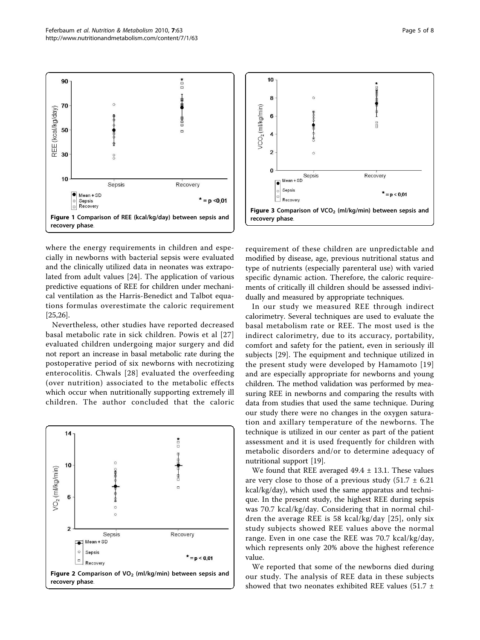<span id="page-4-0"></span>

where the energy requirements in children and especially in newborns with bacterial sepsis were evaluated and the clinically utilized data in neonates was extrapolated from adult values [[24\]](#page-7-0). The application of various predictive equations of REE for children under mechanical ventilation as the Harris-Benedict and Talbot equations formulas overestimate the caloric requirement [[25,26\]](#page-7-0).

Nevertheless, other studies have reported decreased basal metabolic rate in sick children. Powis et al [[27](#page-7-0)] evaluated children undergoing major surgery and did not report an increase in basal metabolic rate during the postoperative period of six newborns with necrotizing enterocolitis. Chwals [[28](#page-7-0)] evaluated the overfeeding (over nutrition) associated to the metabolic effects which occur when nutritionally supporting extremely ill children. The author concluded that the caloric





requirement of these children are unpredictable and modified by disease, age, previous nutritional status and type of nutrients (especially parenteral use) with varied specific dynamic action. Therefore, the caloric requirements of critically ill children should be assessed individually and measured by appropriate techniques.

In our study we measured REE through indirect calorimetry. Several techniques are used to evaluate the basal metabolism rate or REE. The most used is the indirect calorimetry, due to its accuracy, portability, comfort and safety for the patient, even in seriously ill subjects [[29\]](#page-7-0). The equipment and technique utilized in the present study were developed by Hamamoto [[19](#page-6-0)] and are especially appropriate for newborns and young children. The method validation was performed by measuring REE in newborns and comparing the results with data from studies that used the same technique. During our study there were no changes in the oxygen saturation and axillary temperature of the newborns. The technique is utilized in our center as part of the patient assessment and it is used frequently for children with metabolic disorders and/or to determine adequacy of nutritional support [[19\]](#page-6-0).

We found that REE averaged  $49.4 \pm 13.1$ . These values are very close to those of a previous study  $(51.7 \pm 6.21)$ kcal/kg/day), which used the same apparatus and technique. In the present study, the highest REE during sepsis was 70.7 kcal/kg/day. Considering that in normal children the average REE is 58 kcal/kg/day [[25](#page-7-0)], only six study subjects showed REE values above the normal range. Even in one case the REE was 70.7 kcal/kg/day, which represents only 20% above the highest reference value.

We reported that some of the newborns died during our study. The analysis of REE data in these subjects showed that two neonates exhibited REE values (51.7  $\pm$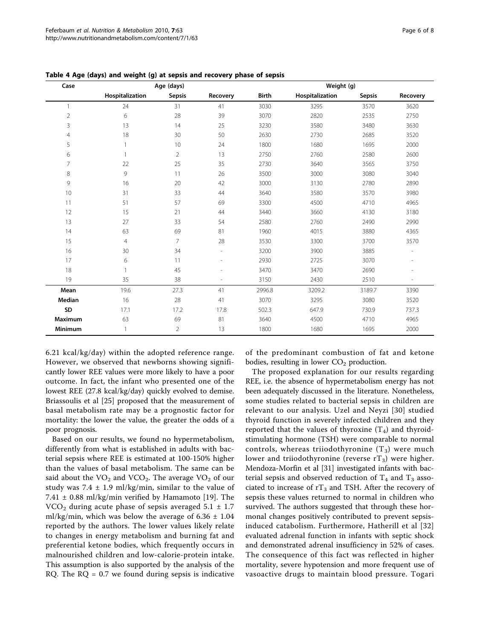| Case           |                 | Age (days)     |                | Weight (g)   |                 |               |          |  |
|----------------|-----------------|----------------|----------------|--------------|-----------------|---------------|----------|--|
|                | Hospitalization | <b>Sepsis</b>  | Recovery       | <b>Birth</b> | Hospitalization | <b>Sepsis</b> | Recovery |  |
| 1              | 24              | 31             | 41             | 3030         | 3295            | 3570          | 3620     |  |
| $\overline{2}$ | 6               | 28             | 39             | 3070         | 2820            | 2535          | 2750     |  |
| 3              | 13              | 14             | 25             | 3230         | 3580            | 3480          | 3630     |  |
| 4              | 18              | 30             | 50             | 2630         | 2730            | 2685          | 3520     |  |
| 5              |                 | 10             | 24             | 1800         | 1680            | 1695          | 2000     |  |
| 6              | $\mathbf{1}$    | $\overline{2}$ | 13             | 2750         | 2760            | 2580          | 2600     |  |
| 7              | 22              | 25             | 35             | 2730         | 3640            | 3565          | 3750     |  |
| 8              | 9               | 11             | 26             | 3500         | 3000            | 3080          | 3040     |  |
| 9              | 16              | 20             | 42             | 3000         | 3130            | 2780          | 2890     |  |
| 10             | 31              | 33             | 44             | 3640         | 3580            | 3570          | 3980     |  |
| 11             | 51              | 57             | 69             | 3300         | 4500            | 4710          | 4965     |  |
| 12             | 15              | 21             | 44             | 3440         | 3660            | 4130          | 3180     |  |
| 13             | 27              | 33             | 54             | 2580         | 2760            | 2490          | 2990     |  |
| 14             | 63              | 69             | 81             | 1960         | 4015            | 3880          | 4365     |  |
| 15             | $\overline{4}$  | $\overline{7}$ | 28             | 3530         | 3300            | 3700          | 3570     |  |
| 16             | 30              | 34             | $\overline{a}$ | 3200         | 3900            | 3885          |          |  |
| 17             | 6               | 11             |                | 2930         | 2725            | 3070          |          |  |
| 18             | 1               | 45             |                | 3470         | 3470            | 2690          |          |  |
| 19             | 35              | 38             | ۰              | 3150         | 2430            | 2510          |          |  |
| Mean           | 19.6            | 27.3           | 41             | 2996.8       | 3209.2          | 3189.7        | 3390     |  |
| Median         | 16              | 28             | 41             | 3070         | 3295            | 3080          | 3520     |  |
| SD             | 17.1            | 17.2           | 17.8           | 502.3        | 647.9           | 730.9         | 737.3    |  |
| Maximum        | 63              | 69             | 81             | 3640         | 4500            | 4710          | 4965     |  |
| Minimum        | $\mathbf{1}$    | $\overline{2}$ | 13             | 1800         | 1680            | 1695          | 2000     |  |

<span id="page-5-0"></span>Table 4 Age (days) and weight (g) at sepsis and recovery phase of sepsis

6.21 kcal/kg/day) within the adopted reference range. However, we observed that newborns showing significantly lower REE values were more likely to have a poor outcome. In fact, the infant who presented one of the lowest REE (27.8 kcal/kg/day) quickly evolved to demise. Briassoulis et al [[25\]](#page-7-0) proposed that the measurement of basal metabolism rate may be a prognostic factor for mortality: the lower the value, the greater the odds of a poor prognosis.

Based on our results, we found no hypermetabolism, differently from what is established in adults with bacterial sepsis where REE is estimated at 100-150% higher than the values of basal metabolism. The same can be said about the  $VO<sub>2</sub>$  and  $VCO<sub>2</sub>$ . The average  $VO<sub>2</sub>$  of our study was  $7.4 \pm 1.9$  ml/kg/min, similar to the value of 7.41  $\pm$  0.88 ml/kg/min verified by Hamamoto [\[19](#page-6-0)]. The  $VCO<sub>2</sub>$  during acute phase of sepsis averaged 5.1  $\pm$  1.7 ml/kg/min, which was below the average of  $6.36 \pm 1.04$ reported by the authors. The lower values likely relate to changes in energy metabolism and burning fat and preferential ketone bodies, which frequently occurs in malnourished children and low-calorie-protein intake. This assumption is also supported by the analysis of the RQ. The  $RQ = 0.7$  we found during sepsis is indicative

of the predominant combustion of fat and ketone bodies, resulting in lower  $CO<sub>2</sub>$  production.

The proposed explanation for our results regarding REE, i.e. the absence of hypermetabolism energy has not been adequately discussed in the literature. Nonetheless, some studies related to bacterial sepsis in children are relevant to our analysis. Uzel and Neyzi [\[30\]](#page-7-0) studied thyroid function in severely infected children and they reported that the values of thyroxine  $(T_4)$  and thyroidstimulating hormone (TSH) were comparable to normal controls, whereas triiodothyronine  $(T_3)$  were much lower and triiodothyronine (reverse  $rT_3$ ) were higher. Mendoza-Morfin et al [[31\]](#page-7-0) investigated infants with bacterial sepsis and observed reduction of  $T_4$  and  $T_3$  associated to increase of  $rT_3$  and TSH. After the recovery of sepsis these values returned to normal in children who survived. The authors suggested that through these hormonal changes positively contributed to prevent sepsisinduced catabolism. Furthermore, Hatherill et al [[32](#page-7-0)] evaluated adrenal function in infants with septic shock and demonstrated adrenal insufficiency in 52% of cases. The consequence of this fact was reflected in higher mortality, severe hypotension and more frequent use of vasoactive drugs to maintain blood pressure. Togari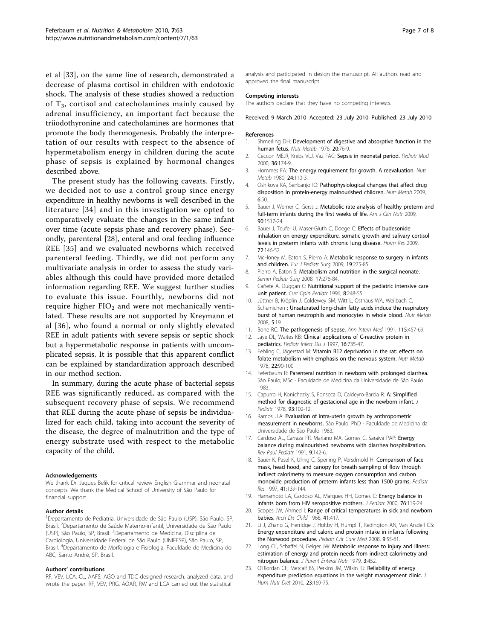<span id="page-6-0"></span>et al [[33\]](#page-7-0), on the same line of research, demonstrated a decrease of plasma cortisol in children with endotoxic shock. The analysis of these studies showed a reduction of  $T_3$ , cortisol and catecholamines mainly caused by adrenal insufficiency, an important fact because the triiodothyronine and catecholamines are hormones that promote the body thermogenesis. Probably the interpretation of our results with respect to the absence of hypermetabolism energy in children during the acute phase of sepsis is explained by hormonal changes described above.

The present study has the following caveats. Firstly, we decided not to use a control group since energy expenditure in healthy newborns is well described in the literature [[34](#page-7-0)] and in this investigation we opted to comparatively evaluate the changes in the same infant over time (acute sepsis phase and recovery phase). Secondly, parenteral [[28\]](#page-7-0), enteral and oral feeding influence REE [[35](#page-7-0)] and we evaluated newborns which received parenteral feeding. Thirdly, we did not perform any multivariate analysis in order to assess the study variables although this could have provided more detailed information regarding REE. We suggest further studies to evaluate this issue. Fourthly, newborns did not require higher  $FIO<sub>2</sub>$  and were not mechanically ventilated. These results are not supported by Kreymann et al [[36\]](#page-7-0), who found a normal or only slightly elevated REE in adult patients with severe sepsis or septic shock but a hypermetabolic response in patients with uncomplicated sepsis. It is possible that this apparent conflict can be explained by standardization approach described in our method section.

In summary, during the acute phase of bacterial sepsis REE was significantly reduced, as compared with the subsequent recovery phase of sepsis. We recommend that REE during the acute phase of sepsis be individualized for each child, taking into account the severity of the disease, the degree of malnutrition and the type of energy substrate used with respect to the metabolic capacity of the child.

#### Acknowledgements

We thank Dr. Jaques Belik for critical review English Grammar and neonatal concepts. We thank the Medical School of University of São Paulo for financial support.

#### Author details

<sup>1</sup>Departamento de Pediatria, Universidade de São Paulo (USP), São Paulo, SP, Brasil. <sup>2</sup>Departamento de Saúde Materno-infantil, Universidade de São Paulo (USP), São Paulo, SP, Brasil. <sup>3</sup>Departamento de Medicina, Disciplina de Cardiologia, Universidade Federal de São Paulo (UNIFESP), São Paulo, SP, Brasil. <sup>4</sup> Departamento de Morfologia e Fisiologia, Faculdade de Medicina do ABC, Santo André, SP, Brasil.

#### Authors' contributions

RF, VEV, LCA, CL, AAFS, AGO and TDC designed research, analyzed data, and wrote the paper. RF, VEV, PRG, AOAR, RW and LCA carried out the statistical

analysis and participated in design the manuscript. All authors read and approved the final manuscript.

#### Competing interests

The authors declare that they have no competing interests.

Received: 9 March 2010 Accepted: 23 July 2010 Published: 23 July 2010

#### References

- 1. Shmerling DH: [Development of digestive and absorptive function in the](http://www.ncbi.nlm.nih.gov/pubmed/785306?dopt=Abstract) [human fetus.](http://www.ncbi.nlm.nih.gov/pubmed/785306?dopt=Abstract) Nutr Metab 1976, 20:76-9.
- 2. Ceccon MEJR, Krebs VLJ, Vaz FAC: Sepsis in neonatal period. Pediatr Mod 2000, 36:174-9.
- 3. Hommes FA: [The energy requirement for growth. A reevaluation.](http://www.ncbi.nlm.nih.gov/pubmed/7443089?dopt=Abstract) Nutr Metab 1980, 24:110-3.
- 4. Oshikoya KA, Senbanjo IO: Pathophysiological changes that affect drug disposition in protein-energy malnourished children. Nutr Metab 2009, 6:50.
- 5. Bauer J, Werner C, Gerss J: [Metabolic rate analysis of healthy preterm and](http://www.ncbi.nlm.nih.gov/pubmed/19812174?dopt=Abstract) [full-term infants during the first weeks of life.](http://www.ncbi.nlm.nih.gov/pubmed/19812174?dopt=Abstract) Am J Clin Nutr 2009, 90:1517-24.
- 6. Bauer J, Teufel U, Maser-Gluth C, Doege C: [Effects of budesonide](http://www.ncbi.nlm.nih.gov/pubmed/19729945?dopt=Abstract) [inhalation on energy expenditure, somatic growth and salivary cortisol](http://www.ncbi.nlm.nih.gov/pubmed/19729945?dopt=Abstract) [levels in preterm infants with chronic lung disease.](http://www.ncbi.nlm.nih.gov/pubmed/19729945?dopt=Abstract) Horm Res 2009, 72:146-52.
- 7. McHoney M, Eaton S, Pierro A: [Metabolic response to surgery in infants](http://www.ncbi.nlm.nih.gov/pubmed/19830630?dopt=Abstract) [and children.](http://www.ncbi.nlm.nih.gov/pubmed/19830630?dopt=Abstract) Eur J Pediatr Surg 2009, 19:275-85.
- 8. Pierro A, Eaton S: [Metabolism and nutrition in the surgical neonate.](http://www.ncbi.nlm.nih.gov/pubmed/19019296?dopt=Abstract) Semin Pediatr Surg 2008, 17:276-84.
- 9. Cañete A, Duggan C: [Nutritional support of the pediatric intensive care](http://www.ncbi.nlm.nih.gov/pubmed/8814403?dopt=Abstract) [unit patient.](http://www.ncbi.nlm.nih.gov/pubmed/8814403?dopt=Abstract) Curr Opin Pediatr 1996, 8:248-55.
- 10. Jüttner B, Kröplin J, Coldewey SM, Witt L, Osthaus WA, Weilbach C, Scheinichen : Unsaturated long-chain fatty acids induce the respiratory burst of human neutrophils and monocytes in whole blood. Nutr Metab 2008, 5:19.
- 11. Bone RC: [The pathogenesis of sepse.](http://www.ncbi.nlm.nih.gov/pubmed/1872494?dopt=Abstract) Ann Intern Med 1991, 115:457-69.
- 12. Jaye DL, Waites KB: [Clinical applications of C-reactive protein in](http://www.ncbi.nlm.nih.gov/pubmed/9271034?dopt=Abstract) [pediatrics.](http://www.ncbi.nlm.nih.gov/pubmed/9271034?dopt=Abstract) Pediatr Infect Dis J 1997, 16:735-47.
- 13. Fehling C, Jägerstad M: [Vitamin B12 deprivation in the rat: effects on](http://www.ncbi.nlm.nih.gov/pubmed/619321?dopt=Abstract) [folate metabolism with emphasis on the nervous system.](http://www.ncbi.nlm.nih.gov/pubmed/619321?dopt=Abstract) Nutr Metab 1978, 22:90-100.
- 14. Feferbaum R: Parenteral nutrition in newborn with prolonged diarrhea. São Paulo; MSc - Faculdade de Medicina da Universidade de São Paulo 1983.
- 15. Capurro H, Konichezky S, Fonseca D, Caldeyro-Barcia R: [A: Simplified](http://www.ncbi.nlm.nih.gov/pubmed/650317?dopt=Abstract) [method for diagnostic of gestacional age in the newborn infant.](http://www.ncbi.nlm.nih.gov/pubmed/650317?dopt=Abstract) J Pediatr 1978, 93:102-12.
- 16. Ramos JLA: Evaluation of intra-uterin growth by anthropometric measurement in newborns. São Paulo; PhD - Faculdade de Medicina da Universidade de São Paulo 1983.
- 17. Cardoso AL, Carraza FR, Mariano MA, Gomes C, Saraiva PAP: Energy balance during malnourished newborns with diarrhea hospitalization. Rev Paul Pediatr 1991, 9:142-6.
- 18. Bauer K, Pasel K, Uhrig C, Sperling P, Versdmold H: [Comparison of face](http://www.ncbi.nlm.nih.gov/pubmed/8979303?dopt=Abstract) [mask, head hood, and canopy for breath sampling of flow through](http://www.ncbi.nlm.nih.gov/pubmed/8979303?dopt=Abstract) [indirect calorimetry to measure oxygen consumption and carbon](http://www.ncbi.nlm.nih.gov/pubmed/8979303?dopt=Abstract) [monoxide production of preterm infants less than 1500 grams.](http://www.ncbi.nlm.nih.gov/pubmed/8979303?dopt=Abstract) Pediatr Res 1997, 41:139-144.
- 19. Hamamoto LA, Cardoso AL, Marques HH, Gomes C: Energy balance in infants born from HIV seropositive mothers. J Pediatr 2000, 76:119-24.
- 20. Scopes JW, Ahmed I: Range of critical temperatures in sick and newborn babies. Arch Dis Child 1966, 41:417.
- 21. Li J, Zhang G, Herridge J, Holtby H, Humpl T, Redington AN, Van Arsdell GS: [Energy expenditure and caloric and protein intake in infants following](http://www.ncbi.nlm.nih.gov/pubmed/18477914?dopt=Abstract) [the Norwood procedure.](http://www.ncbi.nlm.nih.gov/pubmed/18477914?dopt=Abstract) Pediatr Crit Care Med 2008, 9:55-61.
- 22. Long CL, Schaffel N, Geiger JW: **Metabolic response to injury and illness:** estimation of energy and protein needs from indirect calorimetry and nitrogen balance. J Parent Enteral Nutr 1979, 3:452.
- 23. O'Riordan CF, Metcalf BS, Perkins JM, Wilkin TJ: [Reliability of energy](http://www.ncbi.nlm.nih.gov/pubmed/20082662?dopt=Abstract) [expenditure prediction equations in the weight management clinic.](http://www.ncbi.nlm.nih.gov/pubmed/20082662?dopt=Abstract) J Hum Nutr Diet 2010, 23:169-75.